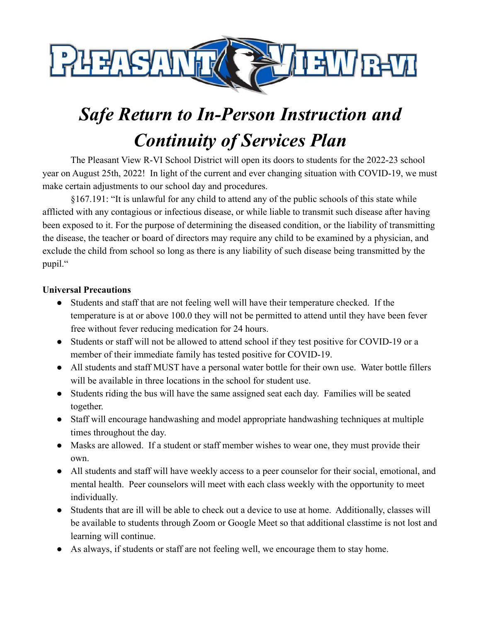

# *Safe Return to In-Person Instruction and Continuity of Services Plan*

The Pleasant View R-VI School District will open its doors to students for the 2022-23 school year on August 25th, 2022! In light of the current and ever changing situation with COVID-19, we must make certain adjustments to our school day and procedures.

§167.191: "It is unlawful for any child to attend any of the public schools of this state while afflicted with any contagious or infectious disease, or while liable to transmit such disease after having been exposed to it. For the purpose of determining the diseased condition, or the liability of transmitting the disease, the teacher or board of directors may require any child to be examined by a physician, and exclude the child from school so long as there is any liability of such disease being transmitted by the pupil."

#### **Universal Precautions**

- Students and staff that are not feeling well will have their temperature checked. If the temperature is at or above 100.0 they will not be permitted to attend until they have been fever free without fever reducing medication for 24 hours.
- Students or staff will not be allowed to attend school if they test positive for COVID-19 or a member of their immediate family has tested positive for COVID-19.
- All students and staff MUST have a personal water bottle for their own use. Water bottle fillers will be available in three locations in the school for student use.
- Students riding the bus will have the same assigned seat each day. Families will be seated together.
- Staff will encourage handwashing and model appropriate handwashing techniques at multiple times throughout the day.
- Masks are allowed. If a student or staff member wishes to wear one, they must provide their own.
- All students and staff will have weekly access to a peer counselor for their social, emotional, and mental health. Peer counselors will meet with each class weekly with the opportunity to meet individually.
- Students that are ill will be able to check out a device to use at home. Additionally, classes will be available to students through Zoom or Google Meet so that additional classtime is not lost and learning will continue.
- As always, if students or staff are not feeling well, we encourage them to stay home.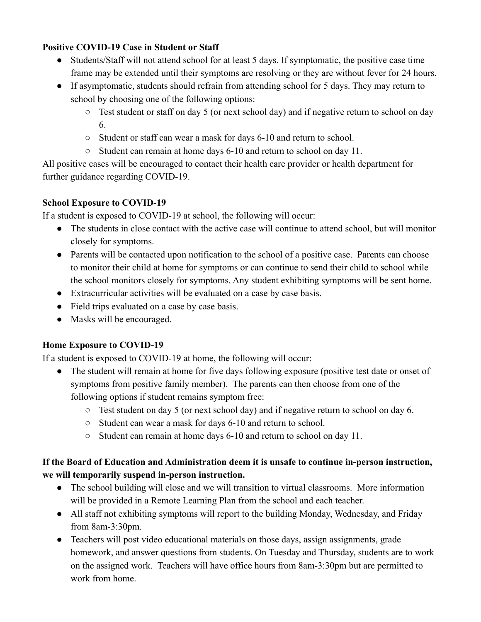## **Positive COVID-19 Case in Student or Staff**

- Students/Staff will not attend school for at least 5 days. If symptomatic, the positive case time frame may be extended until their symptoms are resolving or they are without fever for 24 hours.
- If asymptomatic, students should refrain from attending school for 5 days. They may return to school by choosing one of the following options:
	- Test student or staff on day 5 (or next school day) and if negative return to school on day 6.
	- Student or staff can wear a mask for days 6-10 and return to school.
	- Student can remain at home days 6-10 and return to school on day 11.

All positive cases will be encouraged to contact their health care provider or health department for further guidance regarding COVID-19.

#### **School Exposure to COVID-19**

If a student is exposed to COVID-19 at school, the following will occur:

- The students in close contact with the active case will continue to attend school, but will monitor closely for symptoms.
- Parents will be contacted upon notification to the school of a positive case. Parents can choose to monitor their child at home for symptoms or can continue to send their child to school while the school monitors closely for symptoms. Any student exhibiting symptoms will be sent home.
- Extracurricular activities will be evaluated on a case by case basis.
- Field trips evaluated on a case by case basis.
- Masks will be encouraged.

## **Home Exposure to COVID-19**

If a student is exposed to COVID-19 at home, the following will occur:

- The student will remain at home for five days following exposure (positive test date or onset of symptoms from positive family member). The parents can then choose from one of the following options if student remains symptom free:
	- Test student on day 5 (or next school day) and if negative return to school on day 6.
	- Student can wear a mask for days 6-10 and return to school.
	- Student can remain at home days 6-10 and return to school on day 11.

# **If the Board of Education and Administration deem it is unsafe to continue in-person instruction, we will temporarily suspend in-person instruction.**

- The school building will close and we will transition to virtual classrooms. More information will be provided in a Remote Learning Plan from the school and each teacher.
- All staff not exhibiting symptoms will report to the building Monday, Wednesday, and Friday from 8am-3:30pm.
- Teachers will post video educational materials on those days, assign assignments, grade homework, and answer questions from students. On Tuesday and Thursday, students are to work on the assigned work. Teachers will have office hours from 8am-3:30pm but are permitted to work from home.